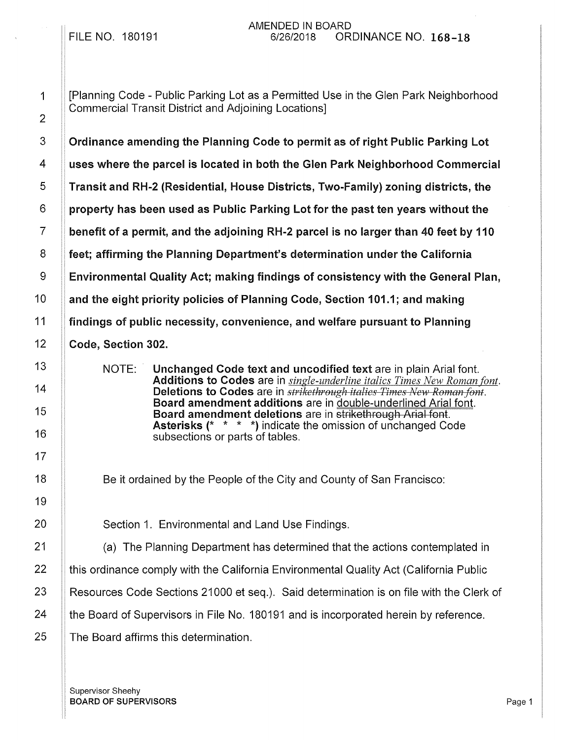[Planning Code - Public Parking Lot as a Permitted Use in the Glen Park Neighborhood Commercial Transit District and Adjoining Locations]

Ordinance amending the Planning Code to permit as of right Public Parking Lot uses where the parcel is located in both the Glen Park Neighborhood Commercial Transit and RH-2 (Residential, House Districts, Two-Family) zoning districts, the property has been used as Public Parking Lot for the past ten years without the benefit of a permit, and the adjoining RH-2 parcel is no larger than 40 feet by 110 feet; affirming the Planning Department's determination under the California Environmental Quality Act; making findings of consistency with the General Plan, and the eight priority policies of Planning Code, Section 101.1; and making findings of public necessity, convenience, and welfare pursuant to Planning Code, Section 302.

NOTE: Unchanged Code text and uncodified text are in plain Arial font. Additions to Codes are in *single-underline italics Times New Roman font.*  Deletions to Codes are in *strikethrough italies Times New Roman font.* Board amendment additions are in double-underlined Arial font. Board amendment deletions are in strikethrough Arial font. Asterisks (\* \* \* \*) indicate the omission of unchanged Code subsections or parts of tables.

Be it ordained by the People of the City and County of San Francisco:

20 **Section 1. Environmental and Land Use Findings.** 

21 | (a) The Planning Department has determined that the actions contemplated in

 $22$  | this ordinance comply with the California Environmental Quality Act (California Public

23 | Resources Code Sections 21000 et seq.). Said determination is on file with the Clerk of

24 **the Board of Supervisors in File No. 180191 and is incorporated herein by reference.** 

 $25$   $\parallel$  The Board affirms this determination.

Supervisor Sheehy **BOARD OF SUPERVISORS** Page 1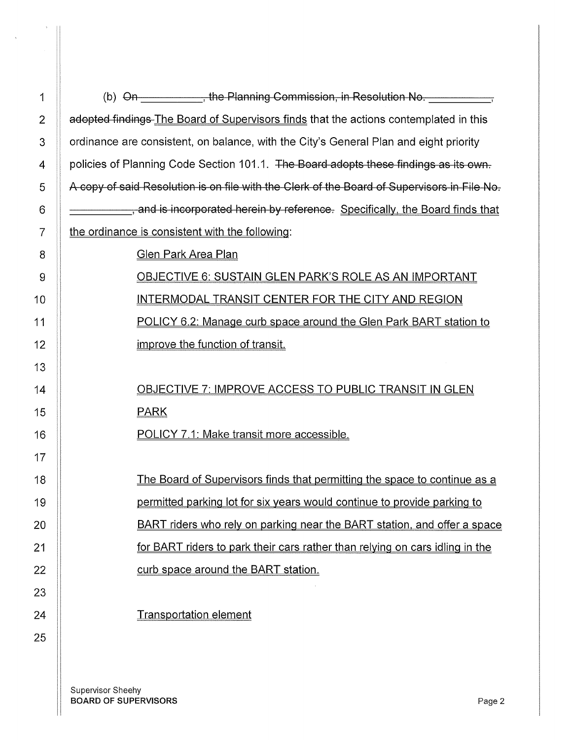| $\mathbf 1$    | (b) $\Theta$ n $\leftarrow$ , the Planning Commission, in Resolution No.                    |  |  |  |  |
|----------------|---------------------------------------------------------------------------------------------|--|--|--|--|
| $\overline{2}$ | adopted findings-The Board of Supervisors finds that the actions contemplated in this       |  |  |  |  |
| 3              | ordinance are consistent, on balance, with the City's General Plan and eight priority       |  |  |  |  |
| 4              | policies of Planning Code Section 101.1. The Board adopts these findings as its own.        |  |  |  |  |
| 5              | A copy of said Resolution is on file with the Clerk of the Board of Supervisors in File No. |  |  |  |  |
| 6              | , and is incorporated herein by reference. Specifically, the Board finds that               |  |  |  |  |
| 7              | the ordinance is consistent with the following:                                             |  |  |  |  |
| 8              | <b>Glen Park Area Plan</b>                                                                  |  |  |  |  |
| 9              | <b>OBJECTIVE 6: SUSTAIN GLEN PARK'S ROLE AS AN IMPORTANT</b>                                |  |  |  |  |
| 10             | INTERMODAL TRANSIT CENTER FOR THE CITY AND REGION                                           |  |  |  |  |
| 11             | POLICY 6.2: Manage curb space around the Glen Park BART station to                          |  |  |  |  |
| 12             | improve the function of transit.                                                            |  |  |  |  |
| 13             |                                                                                             |  |  |  |  |
| 14             | OBJECTIVE 7: IMPROVE ACCESS TO PUBLIC TRANSIT IN GLEN                                       |  |  |  |  |
| 15             | <b>PARK</b>                                                                                 |  |  |  |  |
| 16             | POLICY 7.1: Make transit more accessible.                                                   |  |  |  |  |
| 17             |                                                                                             |  |  |  |  |
| 18             | The Board of Supervisors finds that permitting the space to continue as a                   |  |  |  |  |
| 19             | permitted parking lot for six years would continue to provide parking to                    |  |  |  |  |
| 20             | BART riders who rely on parking near the BART station, and offer a space                    |  |  |  |  |
| 21             | for BART riders to park their cars rather than relying on cars idling in the                |  |  |  |  |
| 22             | curb space around the BART station.                                                         |  |  |  |  |
| 23             |                                                                                             |  |  |  |  |
| 24             | <b>Transportation element</b>                                                               |  |  |  |  |
| 25             |                                                                                             |  |  |  |  |

Supervisor Sheehy BOARD OF SUPERVISORS Page 2

13

 $\rightarrow$ 

 $\frac{1}{\sqrt{2}}$ 

14

15

16

17

18

19

20

21

22

23

24

25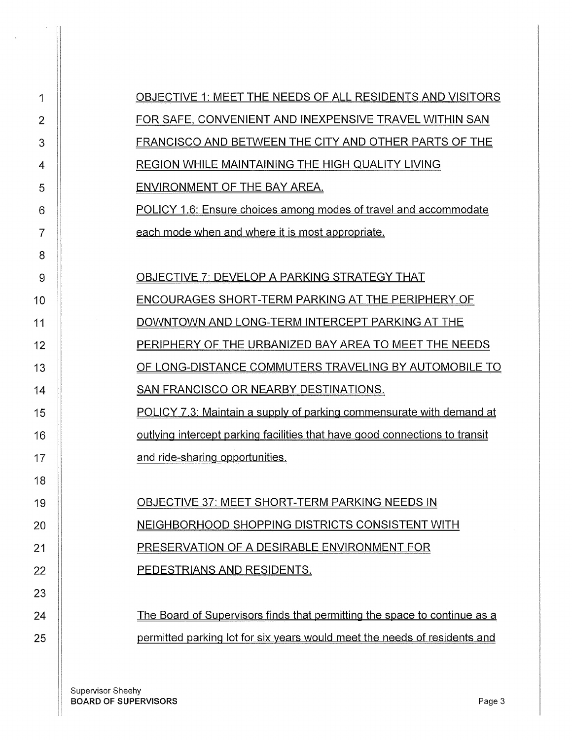| 1  | OBJECTIVE 1: MEET THE NEEDS OF ALL RESIDENTS AND VISITORS                          |  |  |  |  |  |  |  |
|----|------------------------------------------------------------------------------------|--|--|--|--|--|--|--|
| 2  | FOR SAFE, CONVENIENT AND INEXPENSIVE TRAVEL WITHIN SAN                             |  |  |  |  |  |  |  |
| 3  | FRANCISCO AND BETWEEN THE CITY AND OTHER PARTS OF THE                              |  |  |  |  |  |  |  |
| 4  | <b>REGION WHILE MAINTAINING THE HIGH QUALITY LIVING</b>                            |  |  |  |  |  |  |  |
| 5  | <b>ENVIRONMENT OF THE BAY AREA.</b>                                                |  |  |  |  |  |  |  |
| 6  | <b>POLICY 1.6: Ensure choices among modes of travel and accommodate</b>            |  |  |  |  |  |  |  |
| 7  | each mode when and where it is most appropriate.                                   |  |  |  |  |  |  |  |
| 8  |                                                                                    |  |  |  |  |  |  |  |
| 9  | <b>OBJECTIVE 7: DEVELOP A PARKING STRATEGY THAT</b>                                |  |  |  |  |  |  |  |
| 10 | ENCOURAGES SHORT-TERM PARKING AT THE PERIPHERY OF                                  |  |  |  |  |  |  |  |
| 11 | DOWNTOWN AND LONG-TERM INTERCEPT PARKING AT THE                                    |  |  |  |  |  |  |  |
| 12 | PERIPHERY OF THE URBANIZED BAY AREA TO MEET THE NEEDS                              |  |  |  |  |  |  |  |
| 13 | OF LONG-DISTANCE COMMUTERS TRAVELING BY AUTOMOBILE TO                              |  |  |  |  |  |  |  |
| 14 | <b>SAN FRANCISCO OR NEARBY DESTINATIONS.</b>                                       |  |  |  |  |  |  |  |
| 15 | POLICY 7.3: Maintain a supply of parking commensurate with demand at               |  |  |  |  |  |  |  |
| 16 | <u>outlying intercept parking facilities that have good connections to transit</u> |  |  |  |  |  |  |  |
| 17 | and ride-sharing opportunities.                                                    |  |  |  |  |  |  |  |
| 18 |                                                                                    |  |  |  |  |  |  |  |
| 19 | <b>OBJECTIVE 37: MEET SHORT-TERM PARKING NEEDS IN</b>                              |  |  |  |  |  |  |  |
| 20 | NEIGHBORHOOD SHOPPING DISTRICTS CONSISTENT WITH                                    |  |  |  |  |  |  |  |
| 21 | PRESERVATION OF A DESIRABLE ENVIRONMENT FOR                                        |  |  |  |  |  |  |  |
| 22 | PEDESTRIANS AND RESIDENTS.                                                         |  |  |  |  |  |  |  |
| 23 |                                                                                    |  |  |  |  |  |  |  |
| 24 | The Board of Supervisors finds that permitting the space to continue as a          |  |  |  |  |  |  |  |
| 25 | permitted parking lot for six years would meet the needs of residents and          |  |  |  |  |  |  |  |
|    |                                                                                    |  |  |  |  |  |  |  |

 $\bar{\tau}$ 

 $\frac{1}{\sqrt{2}}$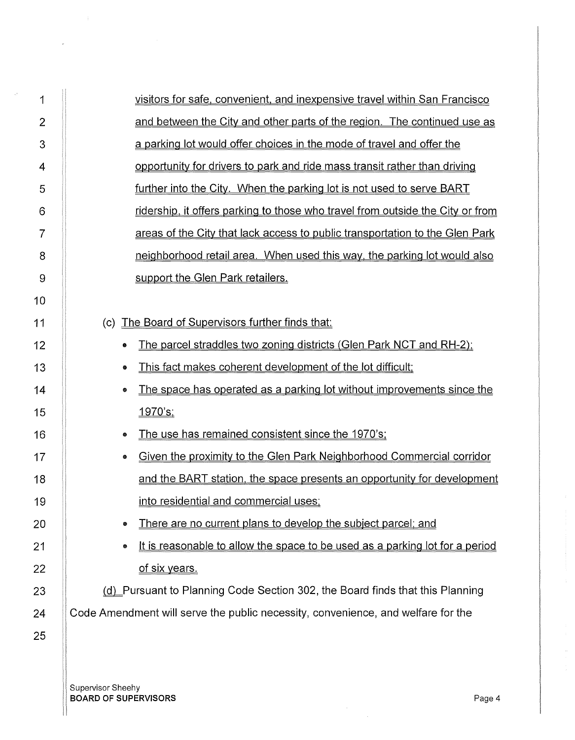| 1              | visitors for safe, convenient, and inexpensive travel within San Francisco        |
|----------------|-----------------------------------------------------------------------------------|
| $\overline{2}$ | and between the City and other parts of the region. The continued use as          |
| 3              | a parking lot would offer choices in the mode of travel and offer the             |
| 4              | opportunity for drivers to park and ride mass transit rather than driving         |
| 5              | further into the City. When the parking lot is not used to serve BART             |
| 6              | ridership, it offers parking to those who travel from outside the City or from    |
| $\overline{7}$ | areas of the City that lack access to public transportation to the Glen Park      |
| 8              | neighborhood retail area. When used this way, the parking lot would also          |
| 9              | support the Glen Park retailers.                                                  |
| 10             |                                                                                   |
| 11             | The Board of Supervisors further finds that:<br>(c)                               |
| 12             | The parcel straddles two zoning districts (Glen Park NCT and RH-2);<br>۰          |
| 13             | This fact makes coherent development of the lot difficult;<br>۰                   |
| 14             | The space has operated as a parking lot without improvements since the<br>۰       |
| 15             | <u>1970's;</u>                                                                    |
| 16             | The use has remained consistent since the 1970's;<br>۰                            |
| 17             | Given the proximity to the Glen Park Neighborhood Commercial corridor<br>●        |
| 18             | and the BART station, the space presents an opportunity for development           |
| 19             | into residential and commercial uses;                                             |
| 20             | There are no current plans to develop the subject parcel; and<br>۰                |
| 21             | It is reasonable to allow the space to be used as a parking lot for a period<br>● |
| 22             | of six years.                                                                     |
| 23             | (d) Pursuant to Planning Code Section 302, the Board finds that this Planning     |
| 24             | Code Amendment will serve the public necessity, convenience, and welfare for the  |
| 25             |                                                                                   |

Supervisor Sheehy BOARD OF SUPERVISORS Page4

 $\hat{\mathbf{e}}$  and  $\hat{\mathbf{e}}$ 

 $\sim 50$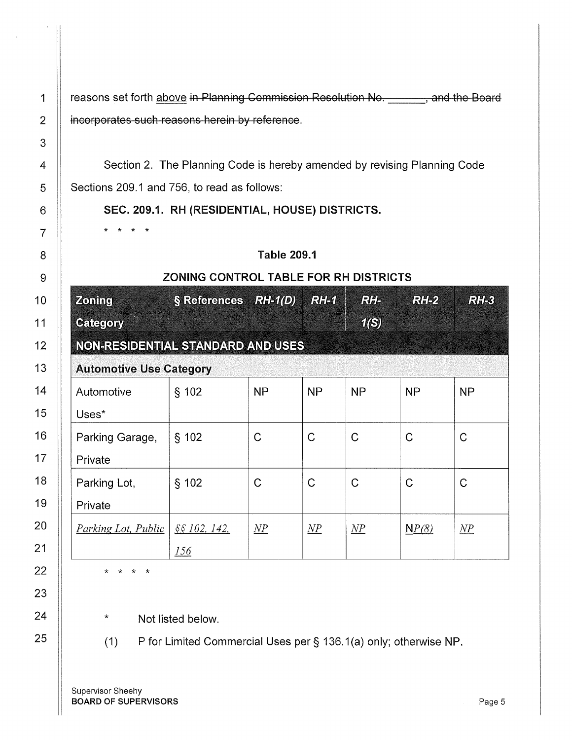1 | reasons set forth above in Planning Commission Resolution No. 49. The Board 2 **incorporates such reasons herein by reference**.

Section 2. The Planning Code is hereby amended by revising Planning Code Sections 209.1 and 756, to read as follows:

SEC. 209.1. RH (RESIDENTIAL, HOUSE) DISTRICTS.

## Table 209.1

## ZONING CONTROL TABLE FOR RH DISTRICTS

| <b>Zoning</b>                     | § References RH-1(D) |                 | <b>RHA</b>      | RH              | RH2              | RHS            |  |  |
|-----------------------------------|----------------------|-----------------|-----------------|-----------------|------------------|----------------|--|--|
| <b>Category</b>                   |                      |                 |                 | <b>16)</b>      |                  |                |  |  |
| NON-RESIDENTIAL STANDARD AND USES |                      |                 |                 |                 |                  |                |  |  |
| <b>Automotive Use Category</b>    |                      |                 |                 |                 |                  |                |  |  |
| Automotive                        | \$102                | <b>NP</b>       | <b>NP</b>       | <b>NP</b>       | <b>NP</b>        | <b>NP</b>      |  |  |
| Uses*                             |                      |                 |                 |                 |                  |                |  |  |
| Parking Garage,                   | § 102                | C               | $\mathsf C$     | $\mathcal C$    | $\mathbf C$      | C              |  |  |
| Private                           |                      |                 |                 |                 |                  |                |  |  |
| Parking Lot,                      | \$102                | C               | $\mathcal{C}$   | C               | $\mathsf C$      | C              |  |  |
| Private                           |                      |                 |                 |                 |                  |                |  |  |
| <i>Parking Lot, Public</i>        | SS 102, 142,         | $\overline{MP}$ | $\overline{NP}$ | $\overline{MP}$ | $\mathbf{N}P(8)$ | $\mathcal{NP}$ |  |  |
|                                   | 156                  |                 |                 |                 |                  |                |  |  |

\* \* \* \*

\* \* \* \*

Not listed below.

(1) P for Limited Commercial Uses per§ 136.1 (a) only; otherwise NP.

Supervisor Sheehy **BOARD OF SUPERVISORS Page 5**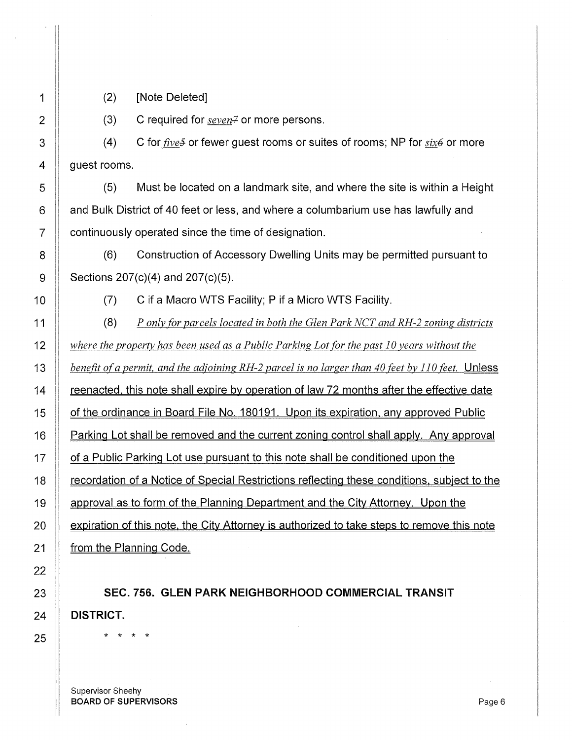(2) [Note Deleted]

(3) C required for *seven*<sup>7</sup> or more persons.

(4)  $4 \parallel$  guest rooms. C for *five*.<sup>5</sup> or fewer guest rooms or suites of rooms; NP for *six6* or more

 $5$  (5) Must be located on a landmark site, and where the site is within a Height 6 **Ault and Bulk District of 40 feet or less**, and where a columbarium use has lawfully and 7 **continuously operated since the time of designation.** 

8  $\parallel$  (6) Construction of Accessory Dwelling Units may be permitted pursuant to 9 | Sections  $207(c)(4)$  and  $207(c)(5)$ .

10 **(7)** C if a Macro WTS Facility; P if a Micro WTS Facility.

(8) *P only for parcels located in both the Glen Park NCT and RH-2 zoning districts where the property has been used as a Public Parking Lot [or the past 10 years without the benefit ofa permit, and the adjoining RH-2 parcel is no larger than 40 feet by 110 feet.* Unless **Frank is note shall expire by operation of law 72 months after the effective date 1** of the ordinance in Board File No. 180191. Upon its expiration, any approved Public **Parking Lot shall be removed and the current zoning control shall apply.** Any approval **1** of a Public Parking Lot use pursuant to this note shall be conditioned upon the **Figure 2** recordation of a Notice of Special Restrictions reflecting these conditions, subject to the 19 approval as to form of the Planning Department and the City Attorney. Upon the **Expiration of this note, the City Attorney is authorized to take steps to remove this note from the Planning Code.** 

23 SEC. 756. GLEN PARK NEIGHBORHOOD COMMERCIAL TRANSIT 24 DISTRICT.

25 \* \* \* \*

Supervisor Sheehy BOARD OF SUPERVISORS And the state of the state of the state of the state of the state of the state of the state of the state of the state of the state of the state of the state of the state of the state of the state of th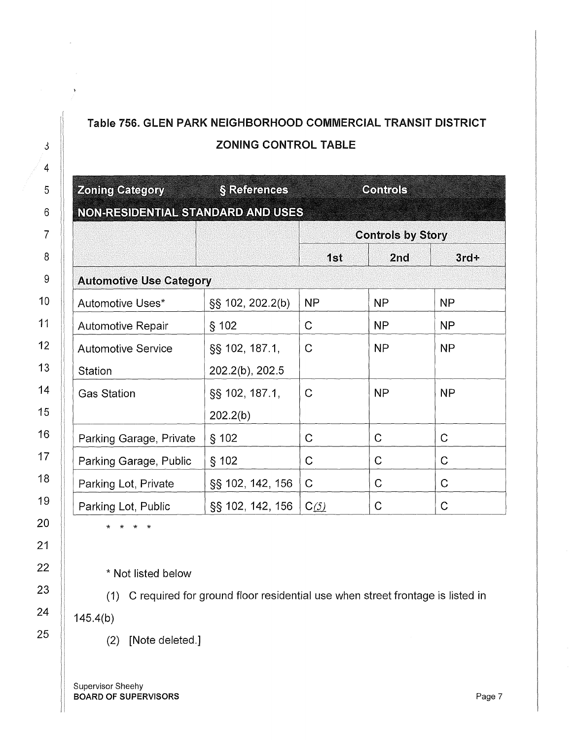## Table 756. GLEN PARK NEIGHBORHOOD COMMERCIAL TRANSIT DISTRICT ZONING CONTROL TABLE

| <b>Zoning Category</b><br>NON-RESIDENTIAL STANDARD AND USES | § References     | <b>Controls</b>          |                |           |  |  |  |  |
|-------------------------------------------------------------|------------------|--------------------------|----------------|-----------|--|--|--|--|
|                                                             |                  | <b>Controls by Story</b> |                |           |  |  |  |  |
|                                                             |                  | 1st                      | 2nd            | $3rd+$    |  |  |  |  |
| <b>Automotive Use Category</b>                              |                  |                          |                |           |  |  |  |  |
| Automotive Uses*                                            | SS 102, 202.2(b) | <b>NP</b>                | NP             | <b>NP</b> |  |  |  |  |
| Automotive Repair                                           | § 102            | $\mathsf{C}$             | <b>NP</b>      | <b>NP</b> |  |  |  |  |
| <b>Automotive Service</b>                                   | §§ 102, 187.1,   | $\mathsf{C}$             | <b>NP</b>      | <b>NP</b> |  |  |  |  |
| Station                                                     | 202.2(b), 202.5  |                          |                |           |  |  |  |  |
| <b>Gas Station</b>                                          | §§ 102, 187.1,   | C                        | N <sub>P</sub> | <b>NP</b> |  |  |  |  |
|                                                             | 202.2(b)         |                          |                |           |  |  |  |  |
| Parking Garage, Private                                     | $§$ 102          | $\mathcal{C}$            | $\mathcal{C}$  | Ć         |  |  |  |  |
| Parking Garage, Public                                      | § 102            | $\mathsf{C}$             | $\mathcal{C}$  | C         |  |  |  |  |
| Parking Lot, Private                                        | §§ 102, 142, 156 | $\mathsf{C}$             | C              | C         |  |  |  |  |
| Parking Lot, Public                                         | §§ 102, 142, 156 | C(5)                     | $\mathsf C$    | С         |  |  |  |  |

\* \* \* \*

\* Not listed below

(1) C required for ground floor residential use when street frontage is listed in

145.4(b)

(2) [Note deleted.]

Supervisor Sheehy BOARD OF SUPERVISORS **Page 7** 

·1  $\parallel$ 

11

II

ii

ii

!I

11 ,,

II

 $\overline{\phantom{a}}$ 

11

1/

11

 $\blacksquare$ 

/I

 $\blacksquare$ 

11 II 11

II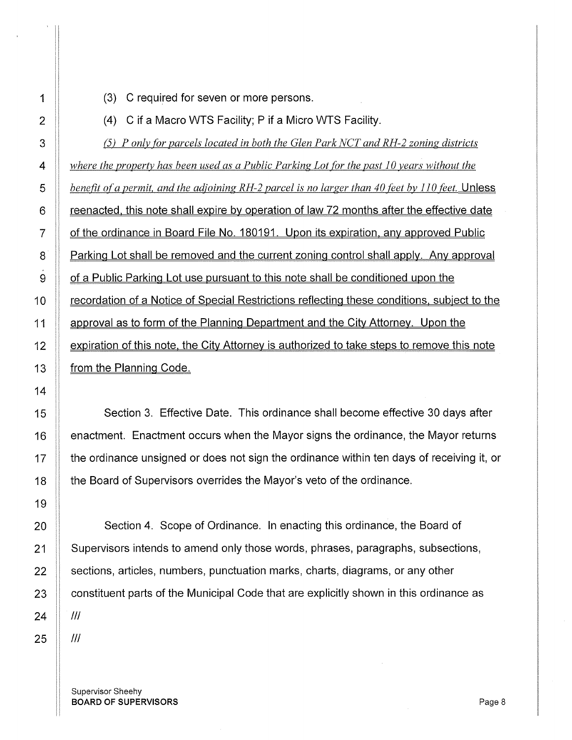**(3)** C required for seven or more persons.

**(4)** C if a Macro WTS Facility; P if a Micro WTS Facility.

(5) *P onlv for parcels located in both the Glen Park NCT and RH-2 zoning districts where the property has been used as a Public Parking Lot for the past 10 years without the* **b** benefit of a permit, and the adjoining RH-2 parcel is no larger than 40 feet by 110 feet. Unless **Figure 1** reenacted, this note shall expire by operation of law 72 months after the effective date **Struct** of the ordinance in Board File No. 180191. Upon its expiration, any approved Public **Parking Lot shall be removed and the current zoning control shall apply. Any approval S** of a Public Parking Lot use pursuant to this note shall be conditioned upon the 10 | recordation of a Notice of Special Restrictions reflecting these conditions, subject to the **1** approval as to form of the Planning Department and the City Attorney. Upon the  $\parallel$  expiration of this note, the City Attorney is authorized to take steps to remove this note **from the Planning Code.** 

15 Nection 3. Effective Date. This ordinance shall become effective 30 days after  $\parallel$  enactment. Enactment occurs when the Mayor signs the ordinance, the Mayor returns  $\parallel$  the ordinance unsigned or does not sign the ordinance within ten days of receiving it, or **the Board of Supervisors overrides the Mayor's veto of the ordinance.** 

**Section 4.** Scope of Ordinance. In enacting this ordinance, the Board of  $\parallel$  Supervisors intends to amend only those words, phrases, paragraphs, subsections, 22 Sections, articles, numbers, punctuation marks, charts, diagrams, or any other  $\parallel$  constituent parts of the Municipal Code that are explicitly shown in this ordinance as

Supervisor Sheehy BOARD OF SUPERVISORS And the state of the state and the state and the state of the state and the state and the state and the state and the state and the state and the state and the state and the state and the state and the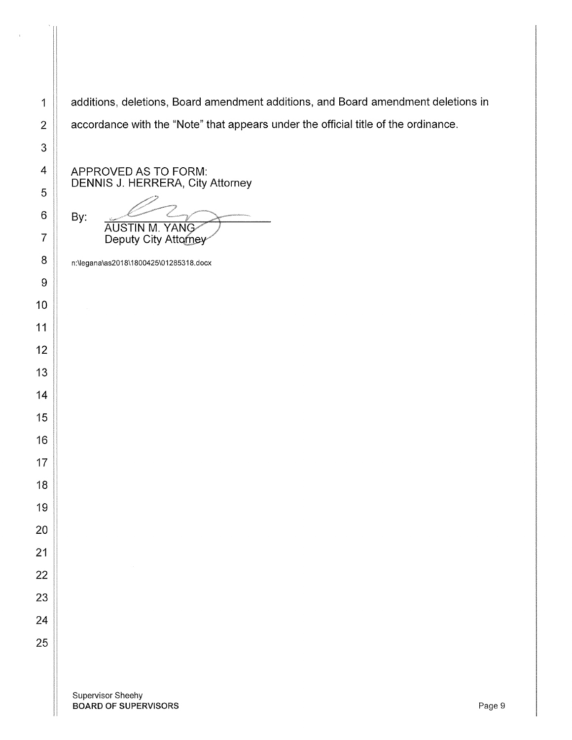1 | additions, deletions, Board amendment additions, and Board amendment deletions in 2 | accordance with the "Note" that appears under the official title of the ordinance.

APPROVED AS TO FORM: DENNIS J. HERRERA, City Attorney

 $By: C2$ **AUSTIN M. YANG** Deputy City Attorney

n:\legana\as2018\1800425\01285318.docx

Supervisor Sheehy BOARD OF SUPERVISORS And the state of the state of the state of the state of the state of the state of the state of the state of the state of the state of the state of the state of the state of the state of the state of th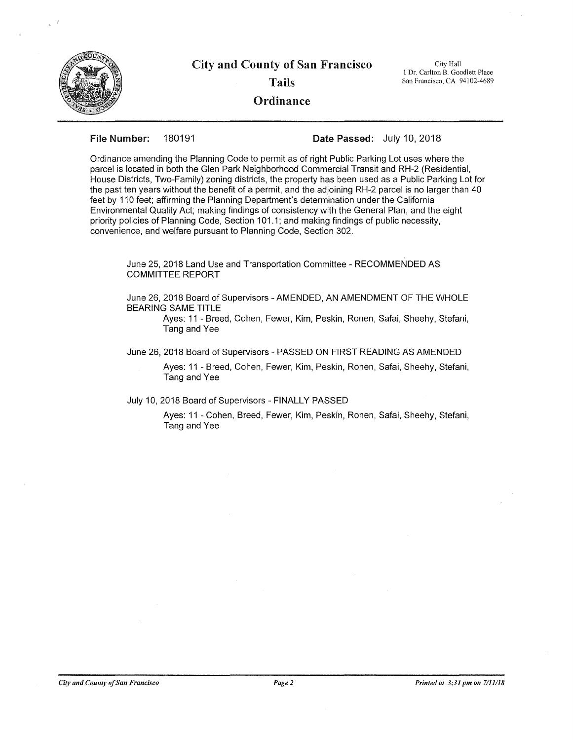

## City and County of San Francisco Tails **Ordinance**

City Hall I Dr. Carlton B. Goodlett Place San Francisco, CA 94102-4689

**File Number:** 180191 **Date Passed:** July 10, 2018

Ordinance amending the Planning Code to permit as of right Public Parking Lot uses where the parcel is located in both the Glen Park Neighborhood Commercial Transit and RH-2 (Residential, House Districts, Two-Family) zoning districts, the property has been used as a Public Parking Lot for the past ten years without the benefit of a permit, and the adjoining RH-2 parcel is no larger than 40 feet by 110 feet; affirming the Planning Department's determination under the California Environmental Quality Act; making findings of consistency with the General Plan, and the eight priority policies of Planning Code, Section 101.1; and making findings of public necessity, convenience, and welfare pursuant to Planning Code, Section 302.

June 25, 2018 Land Use and Transportation Committee - RECOMMENDED AS COMMITTEE REPORT

June 26, 2018 Board of Supervisors - AMENDED, AN AMENDMENT OF THE WHOLE BEARING SAME TITLE

Ayes: 11 - Breed, Cohen, Fewer, Kim, Peskin, Ronen, Safai, Sheehy, Stefani, Tang and Yee

June 26, 2018 Board of Supervisors - PASSED ON FIRST READING AS AMENDED

Ayes: 11 - Breed, Cohen, Fewer, Kim, Peskin, Ronen, Safai, Sheehy, Stefani, Tang and Yee

July 10, 2018 Board of Supervisors - FINALLY PASSED

Ayes: 11 - Cohen, Breed, Fewer, Kim, Peskin, Ronen, Safai, Sheehy, Stefani, Tang and Yee